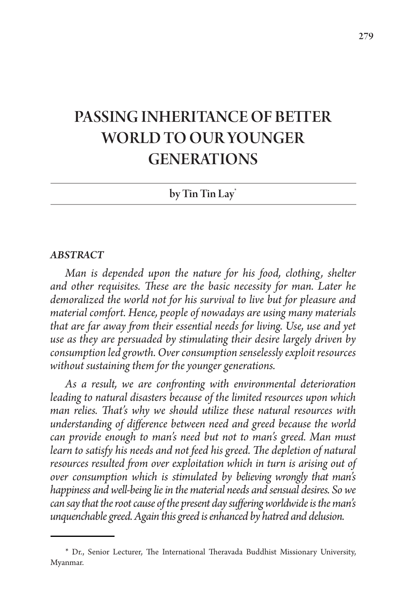# PASSING INHERITANCE OF BETTER WORLD TO OUR YOUNGER **GENERATIONS**

## by Tin Tin Lay\*

#### *ABSTRACT*

*Man is depended upon the nature for his food, clothing, shelter and other requisites. These are the basic necessity for man. Later he demoralized the world not for his survival to live but for pleasure and material comfort. Hence, people of nowadays are using many materials that are far away from their essential needs for living. Use, use and yet use as they are persuaded by stimulating their desire largely driven by consumption led growth. Over consumption senselessly exploit resources without sustaining them for the younger generations.* 

*As a result, we are confronting with environmental deterioration leading to natural disasters because of the limited resources upon which man relies. That's why we should utilize these natural resources with understanding of difference between need and greed because the world can provide enough to man's need but not to man's greed. Man must learn to satisfy his needs and not feed his greed. The depletion of natural resources resulted from over exploitation which in turn is arising out of over consumption which is stimulated by believing wrongly that man's happiness and well-being lie in the material needs and sensual desires. So we can say that the root cause of the present day suffering worldwide is the man's unquenchable greed. Again this greed is enhanced by hatred and delusion.* 

<sup>\*</sup> Dr., Senior Lecturer, The International Theravada Buddhist Missionary University, Myanmar.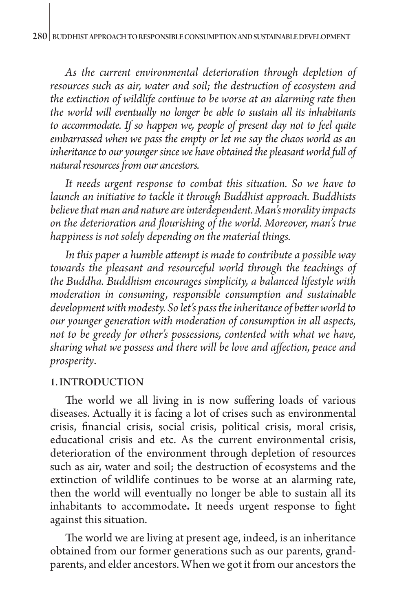*As the current environmental deterioration through depletion of resources such as air, water and soil; the destruction of ecosystem and the extinction of wildlife continue to be worse at an alarming rate then the world will eventually no longer be able to sustain all its inhabitants to accommodate. If so happen we, people of present day not to feel quite embarrassed when we pass the empty or let me say the chaos world as an inheritance to our younger since we have obtained the pleasant world full of natural resources from our ancestors.*

*It needs urgent response to combat this situation. So we have to launch an initiative to tackle it through Buddhist approach. Buddhists believe that man and nature are interdependent. Man's morality impacts on the deterioration and flourishing of the world. Moreover, man's true happiness is not solely depending on the material things.* 

*In this paper a humble attempt is made to contribute a possible way towards the pleasant and resourceful world through the teachings of the Buddha. Buddhism encourages simplicity, a balanced lifestyle with moderation in consuming, responsible consumption and sustainable development with modesty. So let's pass the inheritance of better world to our younger generation with moderation of consumption in all aspects, not to be greedy for other's possessions, contented with what we have, sharing what we possess and there will be love and affection, peace and prosperity*.

#### 1. INTRODUCTION

The world we all living in is now suffering loads of various diseases. Actually it is facing a lot of crises such as environmental crisis, financial crisis, social crisis, political crisis, moral crisis, educational crisis and etc. As the current environmental crisis, deterioration of the [environment](http://en.wikipedia.org/wiki/Environment_%28biophysical%29) through depletion of resources such as [air,](http://en.wikipedia.org/wiki/Air) [water](http://en.wikipedia.org/wiki/Water) and [soil;](http://en.wikipedia.org/wiki/Soil) the destruction of [ecosystems](http://en.wikipedia.org/wiki/Ecosystems) and the extinction of [wildlife](http://en.wikipedia.org/wiki/Wildlife) continues to be worse at an alarming rate, then the world will eventually no longer be able to sustain all its inhabitants to accommodate**.** It needs urgent response to fight against this situation.

The world we are living at present age, indeed, is an inheritance obtained from our former generations such as our parents, grandparents, and elder ancestors. When we got it from our ancestors the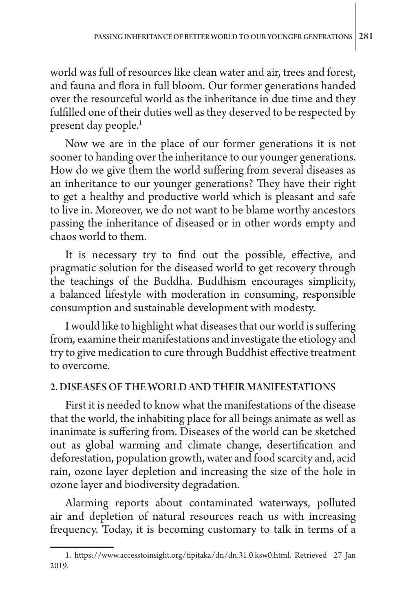world was full of resources like clean water and air, trees and forest, and fauna and flora in full bloom. Our former generations handed over the resourceful world as the inheritance in due time and they fulfilled one of their duties well as they deserved to be respected by present day people.<sup>1</sup>

Now we are in the place of our former generations it is not sooner to handing over the inheritance to our younger generations. How do we give them the world suffering from several diseases as an inheritance to our younger generations? They have their right to get a healthy and productive world which is pleasant and safe to live in. Moreover, we do not want to be blame worthy ancestors passing the inheritance of diseased or in other words empty and chaos world to them.

It is necessary try to find out the possible, effective, and pragmatic solution for the diseased world to get recovery through the teachings of the Buddha. Buddhism encourages simplicity, a balanced lifestyle with moderation in consuming, responsible consumption and sustainable development with modesty.

I would like to highlight what diseases that our world is suffering from, examine their manifestations and investigate the etiology and try to give medication to cure through Buddhist effective treatment to overcome.

## 2. DISEASES OF THE WORLD AND THEIR MANIFESTATIONS

First it is needed to know what the manifestations of the disease that the world, the inhabiting place for all beings animate as well as inanimate is suffering from. Diseases of the world can be sketched out as global warming and climate change, desertification and deforestation, population growth, water and food scarcity and, acid rain, ozone layer depletion and increasing the size of the hole in ozone layer and biodiversity degradation.

Alarming reports about contaminated waterways, polluted air and depletion of natural resources reach us with increasing frequency. Today, it is becoming customary to talk in terms of a

<sup>1.</sup> [https://www.accesstoinsight.org/tipitaka/dn/dn.31.0.ksw0.html. Retrieved 27 Jan](https://www.accesstoinsight.org/tipitaka/dn/dn.31.0.ksw0.html.%20Retrieved%20%2027%20Jan%20%202019)  [2019.](https://www.accesstoinsight.org/tipitaka/dn/dn.31.0.ksw0.html.%20Retrieved%20%2027%20Jan%20%202019)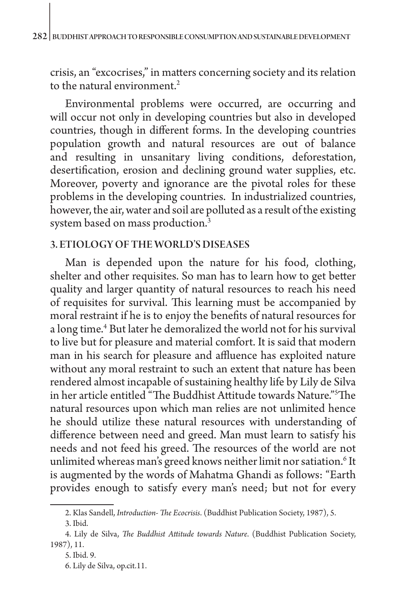crisis, an "excocrises," in matters concerning society and its relation to the natural environment  $2$ 

Environmental problems were occurred, are occurring and will occur not only in developing countries but also in developed countries, though in different forms. In the developing countries population growth and natural resources are out of balance and resulting in unsanitary living conditions, deforestation, desertification, erosion and declining ground water supplies, etc. Moreover, poverty and ignorance are the pivotal roles for these problems in the developing countries. In industrialized countries, however, the air, water and soil are polluted as a result of the existing system based on mass production.3

## 3. ETIOLOGY OF THE WORLD'S DISEASES

Man is depended upon the nature for his food, clothing, shelter and other requisites. So man has to learn how to get better quality and larger quantity of natural resources to reach his need of requisites for survival. This learning must be accompanied by moral restraint if he is to enjoy the benefits of natural resources for a long time.<sup>4</sup> But later he demoralized the world not for his survival to live but for pleasure and material comfort. It is said that modern man in his search for pleasure and affluence has exploited nature without any moral restraint to such an extent that nature has been rendered almost incapable of sustaining healthy life by Lily de Silva in her article entitled "The Buddhist Attitude towards Nature."5 The natural resources upon which man relies are not unlimited hence he should utilize these natural resources with understanding of difference between need and greed. Man must learn to satisfy his needs and not feed his greed. The resources of the world are not unlimited whereas man's greed knows neither limit nor satiation.<sup>6</sup> It is augmented by the words of Mahatma Ghandi as follows: "Earth provides enough to satisfy every man's need; but not for every

<sup>2.</sup> Klas Sandell, *Introduction- The Ecocrisis*. (Buddhist Publication Society, 1987), 5.

<sup>3.</sup> Ibid.

<sup>4.</sup> Lily de Silva, *The Buddhist Attitude towards Nature*. (Buddhist Publication Society, 1987), 11.

<sup>5.</sup> Ibid. 9.

<sup>6.</sup> Lily de Silva, op.cit.11.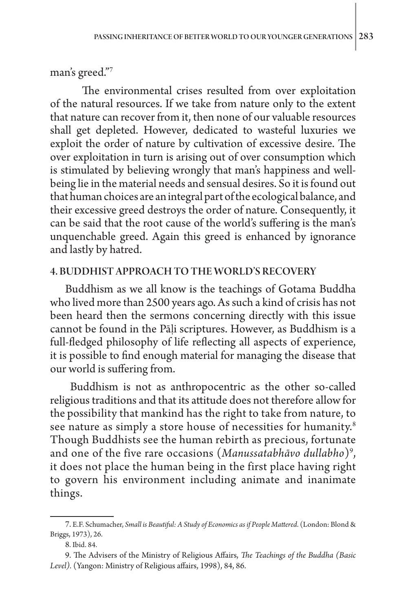man's greed."7

The environmental crises resulted from over exploitation of the natural resources. If we take from nature only to the extent that nature can recover from it, then none of our valuable resources shall get depleted. However, dedicated to wasteful luxuries we exploit the order of nature by cultivation of excessive desire. The over exploitation in turn is arising out of over consumption which is stimulated by believing wrongly that man's happiness and wellbeing lie in the material needs and sensual desires. So it is found out that human choices are an integral part of the ecological balance, and their excessive greed destroys the order of nature. Consequently, it can be said that the root cause of the world's suffering is the man's unquenchable greed. Again this greed is enhanced by ignorance and lastly by hatred.

### 4. BUDDHIST APPROACH TO THE WORLD'S RECOVERY

Buddhism as we all know is the teachings of Gotama Buddha who lived more than 2500 years ago. As such a kind of crisis has not been heard then the sermons concerning directly with this issue cannot be found in the Pāḷi scriptures. However, as Buddhism is a full-fledged philosophy of life reflecting all aspects of experience, it is possible to find enough material for managing the disease that our world is suffering from.

 Buddhism is not as anthropocentric as the other so-called religious traditions and that its attitude does not therefore allow for the possibility that mankind has the right to take from nature, to see nature as simply a store house of necessities for humanity.<sup>8</sup> Though Buddhists see the human rebirth as precious, fortunate and one of the five rare occasions (*Manussatabhāvo dullabho*)9 , it does not place the human being in the first place having right to govern his environment including animate and inanimate things.

<sup>7.</sup> E.F. Schumacher, *Small is Beautiful: A Study of Economics as if People Mattered*. (London: Blond & Briggs, 1973), 26.

<sup>8.</sup> Ibid. 84.

<sup>9.</sup> The Advisers of the Ministry of Religious Affairs, *The Teachings of the Buddha (Basic Level).* (Yangon: Ministry of Religious affairs, 1998), 84, 86.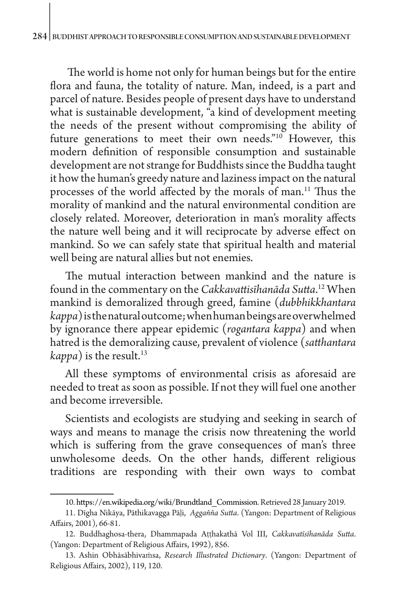The world is home not only for human beings but for the entire flora and fauna, the totality of nature. Man, indeed, is a part and parcel of nature. Besides people of present days have to understand what is sustainable development, "a kind of development meeting the needs of the present without compromising the ability of future generations to meet their own needs."<sup>10</sup> However, this modern definition of responsible consumption and sustainable development are not strange for Buddhists since the Buddha taught it how the human's greedy nature and laziness impact on the natural processes of the world affected by the morals of man.11 Thus the morality of mankind and the natural environmental condition are closely related. Moreover, deterioration in man's morality affects the nature well being and it will reciprocate by adverse effect on mankind. So we can safely state that spiritual health and material well being are natural allies but not enemies.

The mutual interaction between mankind and the nature is found in the commentary on the *Cakkavattisīhanāda Sutta*. 12 When mankind is demoralized through greed, famine (*dubbhikkhantara kappa*) is the natural outcome; when human beings are overwhelmed by ignorance there appear epidemic (*rogantara kappa*) and when hatred is the demoralizing cause, prevalent of violence (*satthantara kappa*) is the result.<sup>13</sup>

All these symptoms of environmental crisis as aforesaid are needed to treat as soon as possible. If not they will fuel one another and become irreversible.

Scientists and ecologists are studying and seeking in search of ways and means to manage the crisis now threatening the world which is suffering from the grave consequences of man's three unwholesome deeds. On the other hands, different religious traditions are responding with their own ways to combat

<sup>10.</sup> [https://en.wikipedia.org/wiki/Brundtland\\_Commission](https://en.wikipedia.org/wiki/Brundtland_Commission). Retrieved 28 January 2019.

<sup>11.</sup> Dīgha Nikāya, Pāthikavagga Pāḷi, *Aggaňňa Sutta*. (Yangon: Department of Religious Affairs, 2001), 66-81.

<sup>12.</sup> Buddhaghosa-thera, Dhammapada Aṭṭhakathā Vol III, *Cakkavatīsīhanāda Sutta*. (Yangon: Department of Religious Affairs, 1992), 856.

<sup>13.</sup> Ashin Obhāsābhivaṁsa, *Research Illustrated Dictionary*. (Yangon: Department of Religious Affairs, 2002), 119, 120.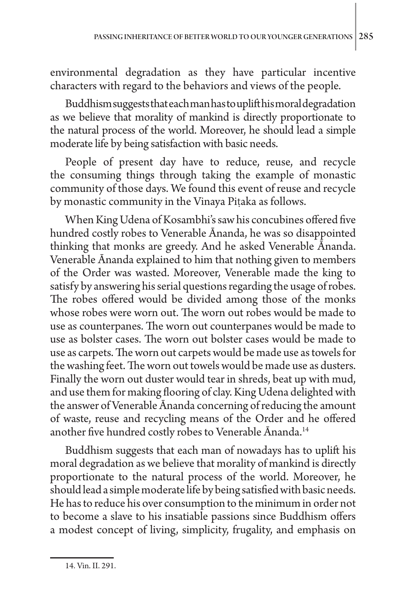environmental degradation as they have particular incentive characters with regard to the behaviors and views of the people.

Buddhism suggests that each man has to uplift his moral degradation as we believe that morality of mankind is directly proportionate to the natural process of the world. Moreover, he should lead a simple moderate life by being satisfaction with basic needs.

People of present day have to reduce, reuse, and recycle the consuming things through taking the example of monastic community of those days. We found this event of reuse and recycle by monastic community in the Vinaya Piṭaka as follows.

When King Udena of Kosambhi's saw his concubines offered five hundred costly robes to Venerable Ānanda, he was so disappointed thinking that monks are greedy. And he asked Venerable Ānanda. Venerable Ānanda explained to him that nothing given to members of the Order was wasted. Moreover, Venerable made the king to satisfy by answering his serial questions regarding the usage of robes. The robes offered would be divided among those of the monks whose robes were worn out. The worn out robes would be made to use as counterpanes. The worn out counterpanes would be made to use as bolster cases. The worn out bolster cases would be made to use as carpets. The worn out carpets would be made use as towels for the washing feet. The worn out towels would be made use as dusters. Finally the worn out duster would tear in shreds, beat up with mud, and use them for making flooring of clay. King Udena delighted with the answer of Venerable Ānanda concerning of reducing the amount of waste, reuse and recycling means of the Order and he offered another five hundred costly robes to Venerable Ānanda. 14

Buddhism suggests that each man of nowadays has to uplift his moral degradation as we believe that morality of mankind is directly proportionate to the natural process of the world. Moreover, he should lead a simple moderate life by being satisfied with basic needs. He has to reduce his over consumption to the minimum in order not to become a slave to his insatiable passions since Buddhism offers a modest concept of living, simplicity, frugality, and emphasis on

<sup>14.</sup> Vin. II. 291.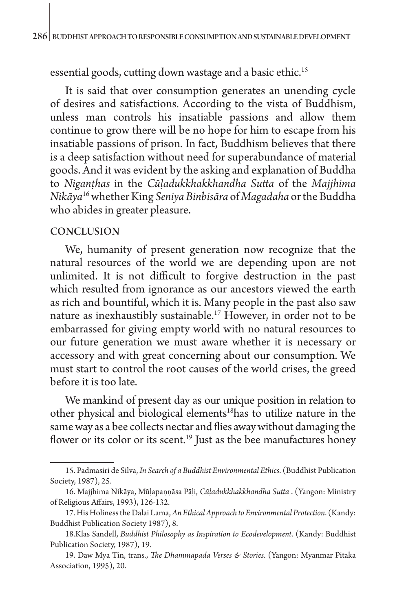essential goods, cutting down wastage and a basic ethic.<sup>15</sup>

It is said that over consumption generates an unending cycle of desires and satisfactions. According to the vista of Buddhism, unless man controls his insatiable passions and allow them continue to grow there will be no hope for him to escape from his insatiable passions of prison. In fact, Buddhism believes that there is a deep satisfaction without need for superabundance of material goods. And it was evident by the asking and explanation of Buddha to *Niganṭhas* in the *Cūḷadukkhakkhandha Sutta* of the *Majjhima Nikāya*16 whether King *Seniya Binbisāra* of *Magadaha* or the Buddha who abides in greater pleasure.

## **CONCLUSION**

We, humanity of present generation now recognize that the natural resources of the world we are depending upon are not unlimited. It is not difficult to forgive destruction in the past which resulted from ignorance as our ancestors viewed the earth as rich and bountiful, which it is. Many people in the past also saw nature as inexhaustibly sustainable.17 However, in order not to be embarrassed for giving empty world with no natural resources to our future generation we must aware whether it is necessary or accessory and with great concerning about our consumption. We must start to control the root causes of the world crises, the greed before it is too late.

We mankind of present day as our unique position in relation to other physical and biological elements<sup>18</sup>has to utilize nature in the same way as a bee collects nectar and flies away without damaging the flower or its color or its scent.<sup>19</sup> Just as the bee manufactures honey

<sup>15.</sup> Padmasiri de Silva, *In Search of a Buddhist Environmental Ethics*. (Buddhist Publication Society, 1987), 25.

<sup>16.</sup> Majjhima Nikāya, Mūḷapaṇṇāsa Pāḷi, *Cūḷadukkhakkhandha Sutta* . (Yangon: Ministry of Religious Affairs, 1993), 126-132.

<sup>17.</sup> His Holiness the Dalai Lama, *An Ethical Approach to Environmental Protection*. (Kandy: Buddhist Publication Society 1987), 8.

<sup>18.</sup>Klas Sandell, *Buddhist Philosophy as Inspiration to Ecodevelopment*. (Kandy: Buddhist Publication Society, 1987), 19.

<sup>19.</sup> Daw Mya Tin, trans., *The Dhammapada Verses & Stories*. (Yangon: Myanmar Pitaka Association, 1995), 20.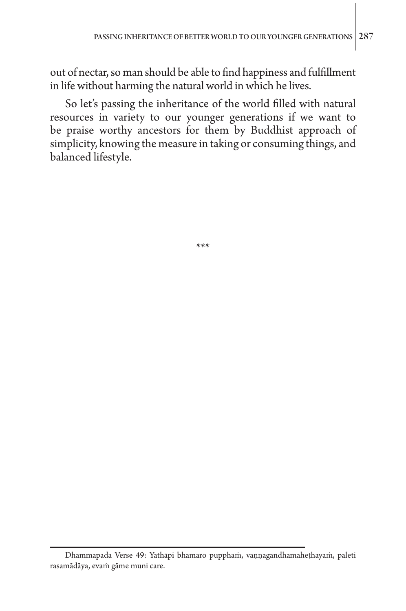out of nectar, so man should be able to find happiness and fulfillment in life without harming the natural world in which he lives.

So let's passing the inheritance of the world filled with natural resources in variety to our younger generations if we want to be praise worthy ancestors for them by Buddhist approach of simplicity, knowing the measure in taking or consuming things, and balanced lifestyle.

\*\*\*

Dhammapada Verse 49: Yathāpi bhamaro pupphaṁ, vaṇṇagandhamaheṭhayaṁ, paleti rasamādāya, evaṁ gāme muni care.